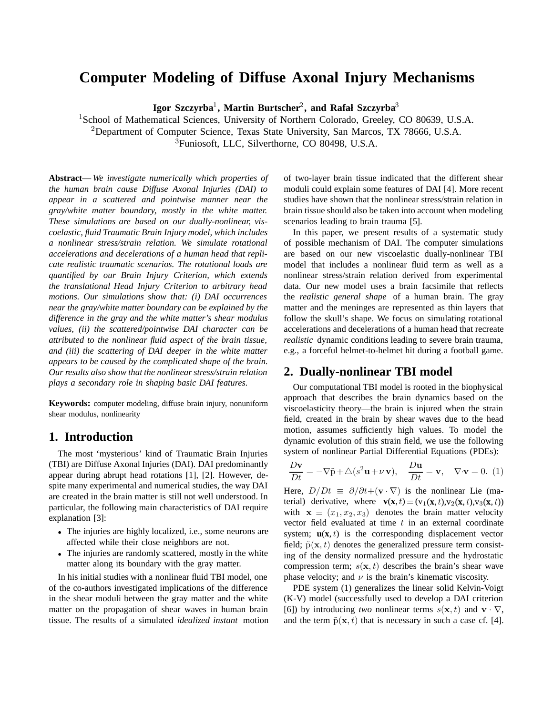# **Computer Modeling of Diffuse Axonal Injury Mechanisms**

**Igor Szczyrba**1**, Martin Burtscher**2**, and Rafał Szczyrba**<sup>3</sup>

<sup>1</sup>School of Mathematical Sciences, University of Northern Colorado, Greeley, CO 80639, U.S.A. <sup>2</sup>Department of Computer Science, Texas State University, San Marcos, TX 78666, U.S.A. <sup>3</sup>Funiosoft, LLC, Silverthorne, CO 80498, U.S.A.

**Abstract**— *We investigate numerically which properties of the human brain cause Diffuse Axonal Injuries (DAI) to appear in a scattered and pointwise manner near the gray/white matter boundary, mostly in the white matter. These simulations are based on our dually-nonlinear, viscoelastic, fluid Traumatic Brain Injury model, which includes a nonlinear stress/strain relation. We simulate rotational accelerations and decelerations of a human head that replicate realistic traumatic scenarios. The rotational loads are quantified by our Brain Injury Criterion, which extends the translational Head Injury Criterion to arbitrary head motions. Our simulations show that: (i) DAI occurrences near the gray/white matter boundary can be explained by the difference in the gray and the white matter's shear modulus values, (ii) the scattered/pointwise DAI character can be attributed to the nonlinear fluid aspect of the brain tissue, and (iii) the scattering of DAI deeper in the white matter appears to be caused by the complicated shape of the brain. Our results also show that the nonlinear stress/strain relation plays a secondary role in shaping basic DAI features.*

**Keywords:** computer modeling, diffuse brain injury, nonuniform shear modulus, nonlinearity

### **1. Introduction**

The most 'mysterious' kind of Traumatic Brain Injuries (TBI) are Diffuse Axonal Injuries (DAI). DAI predominantly appear during abrupt head rotations [1], [2]. However, despite many experimental and numerical studies, the way DAI are created in the brain matter is still not well understood. In particular, the following main characteristics of DAI require explanation [3]:

- The injuries are highly localized, i.e., some neurons are affected while their close neighbors are not.
- The injuries are randomly scattered, mostly in the white matter along its boundary with the gray matter.

In his initial studies with a nonlinear fluid TBI model, one of the co-authors investigated implications of the difference in the shear moduli between the gray matter and the white matter on the propagation of shear waves in human brain tissue. The results of a simulated *idealized instant* motion of two-layer brain tissue indicated that the different shear moduli could explain some features of DAI [4]. More recent studies have shown that the nonlinear stress/strain relation in brain tissue should also be taken into account when modeling scenarios leading to brain trauma [5].

In this paper, we present results of a systematic study of possible mechanism of DAI. The computer simulations are based on our new viscoelastic dually-nonlinear TBI model that includes a nonlinear fluid term as well as a nonlinear stress/strain relation derived from experimental data. Our new model uses a brain facsimile that reflects the *realistic general shape* of a human brain. The gray matter and the meninges are represented as thin layers that follow the skull's shape. We focus on simulating rotational accelerations and decelerations of a human head that recreate *realistic* dynamic conditions leading to severe brain trauma, e.g., a forceful helmet-to-helmet hit during a football game.

### **2. Dually-nonlinear TBI model**

Our computational TBI model is rooted in the biophysical approach that describes the brain dynamics based on the viscoelasticity theory—the brain is injured when the strain field, created in the brain by shear waves due to the head motion, assumes sufficiently high values. To model the dynamic evolution of this strain field, we use the following system of nonlinear Partial Differential Equations (PDEs):

$$
\frac{D\mathbf{v}}{Dt} = -\nabla \tilde{\mathbf{p}} + \Delta(s^2 \mathbf{u} + \nu \mathbf{v}), \quad \frac{D\mathbf{u}}{Dt} = \mathbf{v}, \quad \nabla \cdot \mathbf{v} = 0. \tag{1}
$$

Here,  $D/Dt \equiv \partial/\partial t + (\mathbf{v} \cdot \nabla)$  is the nonlinear Lie (material) derivative, where  $\mathbf{v}(\mathbf{x},t) \equiv (v_1(\mathbf{x},t),v_2(\mathbf{x},t),v_3(\mathbf{x},t))$ with  $\mathbf{x} \equiv (x_1, x_2, x_3)$  denotes the brain matter velocity vector field evaluated at time  $t$  in an external coordinate system;  $\mathbf{u}(\mathbf{x},t)$  is the corresponding displacement vector field;  $\tilde{p}(\mathbf{x}, t)$  denotes the generalized pressure term consisting of the density normalized pressure and the hydrostatic compression term;  $s(\mathbf{x}, t)$  describes the brain's shear wave phase velocity; and  $\nu$  is the brain's kinematic viscosity.

PDE system (1) generalizes the linear solid Kelvin-Voigt (K-V) model (successfully used to develop a DAI criterion [6]) by introducing *two* nonlinear terms  $s(\mathbf{x}, t)$  and  $\mathbf{v} \cdot \nabla$ , and the term  $\tilde{p}(\mathbf{x}, t)$  that is necessary in such a case cf. [4].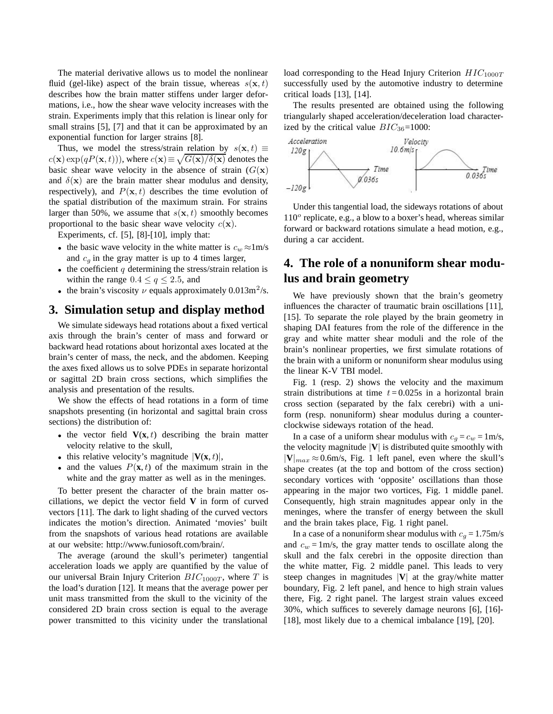The material derivative allows us to model the nonlinear fluid (gel-like) aspect of the brain tissue, whereas  $s(\mathbf{x}, t)$ describes how the brain matter stiffens under larger deformations, i.e., how the shear wave velocity increases with the strain. Experiments imply that this relation is linear only for small strains [5], [7] and that it can be approximated by an exponential function for larger strains [8].

Thus, we model the stress/strain relation by  $s(\mathbf{x}, t) \equiv$  $c(\mathbf{x}) \exp(qP(\mathbf{x}, t)))$ , where  $c(\mathbf{x}) \equiv \sqrt{G(\mathbf{x})/\delta(\mathbf{x})}$  denotes the basic shear wave velocity in the absence of strain  $(G(\mathbf{x}))$ and  $\delta(\mathbf{x})$  are the brain matter shear modulus and density, respectively), and  $P(x, t)$  describes the time evolution of the spatial distribution of the maximum strain. For strains larger than 50%, we assume that  $s(\mathbf{x}, t)$  smoothly becomes proportional to the basic shear wave velocity  $c(\mathbf{x})$ .

Experiments, cf. [5], [8]-[10], imply that:

- the basic wave velocity in the white matter is  $c_w \approx 1 \text{ m/s}$ and  $c_q$  in the gray matter is up to 4 times larger,
- the coefficient  $q$  determining the stress/strain relation is within the range  $0.4 \le q \le 2.5$ , and
- the brain's viscosity  $\nu$  equals approximately 0.013m<sup>2</sup>/s.

#### **3. Simulation setup and display method**

We simulate sideways head rotations about a fixed vertical axis through the brain's center of mass and forward or backward head rotations about horizontal axes located at the brain's center of mass, the neck, and the abdomen. Keeping the axes fixed allows us to solve PDEs in separate horizontal or sagittal 2D brain cross sections, which simplifies the analysis and presentation of the results.

We show the effects of head rotations in a form of time snapshots presenting (in horizontal and sagittal brain cross sections) the distribution of:

- the vector field  $V(x, t)$  describing the brain matter velocity relative to the skull,
- this relative velocity's magnitude  $|\mathbf{V}(\mathbf{x},t)|$ ,
- and the values  $P(\mathbf{x},t)$  of the maximum strain in the white and the gray matter as well as in the meninges.

To better present the character of the brain matter oscillations, we depict the vector field **V** in form of curved vectors [11]. The dark to light shading of the curved vectors indicates the motion's direction. Animated 'movies' built from the snapshots of various head rotations are available at our website: http://www.funiosoft.com/brain/.

The average (around the skull's perimeter) tangential acceleration loads we apply are quantified by the value of our universal Brain Injury Criterion  $BIC_{1000T}$ , where T is the load's duration [12]. It means that the average power per unit mass transmitted from the skull to the vicinity of the considered 2D brain cross section is equal to the average power transmitted to this vicinity under the translational

load corresponding to the Head Injury Criterion  $HIC_{1000T}$ successfully used by the automotive industry to determine critical loads [13], [14].

The results presented are obtained using the following triangularly shaped acceleration/deceleration load characterized by the critical value  $BIC_{36}=1000$ :



Under this tangential load, the sideways rotations of about  $110<sup>o</sup>$  replicate, e.g., a blow to a boxer's head, whereas similar forward or backward rotations simulate a head motion, e.g., during a car accident.

# **4. The role of a nonuniform shear modulus and brain geometry**

We have previously shown that the brain's geometry influences the character of traumatic brain oscillations [11], [15]. To separate the role played by the brain geometry in shaping DAI features from the role of the difference in the gray and white matter shear moduli and the role of the brain's nonlinear properties, we first simulate rotations of the brain with a uniform or nonuniform shear modulus using the linear K-V TBI model.

Fig. 1 (resp. 2) shows the velocity and the maximum strain distributions at time  $t = 0.025$ s in a horizontal brain cross section (separated by the falx cerebri) with a uniform (resp. nonuniform) shear modulus during a counterclockwise sideways rotation of the head.

In a case of a uniform shear modulus with  $c_q = c_w = 1$ m/s, the velocity magnitude  $|V|$  is distributed quite smoothly with  $|V|_{max} \approx 0.6$ m/s, Fig. 1 left panel, even where the skull's shape creates (at the top and bottom of the cross section) secondary vortices with 'opposite' oscillations than those appearing in the major two vortices, Fig. 1 middle panel. Consequently, high strain magnitudes appear only in the meninges, where the transfer of energy between the skull and the brain takes place, Fig. 1 right panel.

In a case of a nonuniform shear modulus with  $c_g = 1.75 \text{m/s}$ and  $c_w = 1$ m/s, the gray matter tends to oscillate along the skull and the falx cerebri in the opposite direction than the white matter, Fig. 2 middle panel. This leads to very steep changes in magnitudes |**V**| at the gray/white matter boundary, Fig. 2 left panel, and hence to high strain values there, Fig. 2 right panel. The largest strain values exceed 30%, which suffices to severely damage neurons [6], [16]- [18], most likely due to a chemical imbalance [19], [20].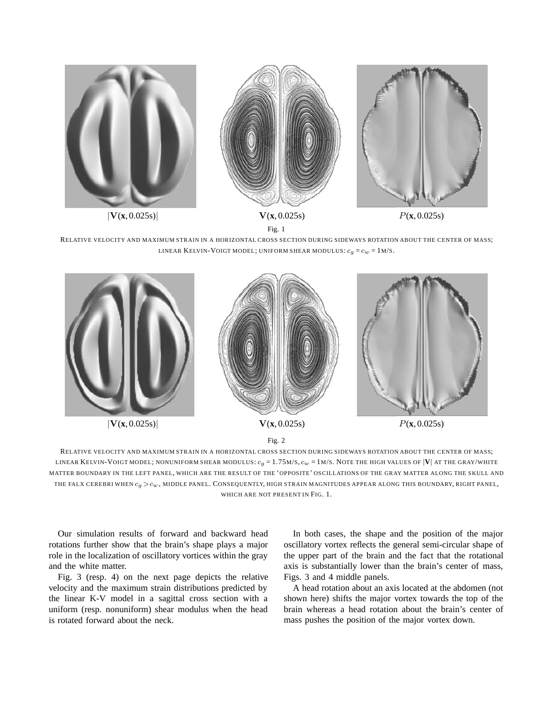

RELATIVE VELOCITY AND MAXIMUM STRAIN IN A HORIZONTAL CROSS SECTION DURING SIDEWAYS ROTATION ABOUT THE CENTER OF MASS; LINEAR KELVIN-VOIGT MODEL; UNIFORM SHEAR MODULUS:  $c_q = c_w = 1$ M/S.



RELATIVE VELOCITY AND MAXIMUM STRAIN IN A HORIZONTAL CROSS SECTION DURING SIDEWAYS ROTATION ABOUT THE CENTER OF MASS; LINEAR KELVIN-VOIGT MODEL; NONUNIFORM SHEAR MODULUS:  $c_q = 1.75M/S$ ,  $c_w = 1M/S$ . NOTE THE HIGH VALUES OF  $|V|$  AT THE GRAY/WHITE MATTER BOUNDARY IN THE LEFT PANEL, WHICH ARE THE RESULT OF THE 'OPPOSITE' OSCILLATIONS OF THE GRAY MATTER ALONG THE SKULL AND THE FALX CEREBRI WHEN  $c_q > c_w$ , MIDDLE PANEL. CONSEQUENTLY, HIGH STRAIN MAGNITUDES APPEAR ALONG THIS BOUNDARY, RIGHT PANEL, WHICH ARE NOT PRESENT IN FIG. 1.

Our simulation results of forward and backward head rotations further show that the brain's shape plays a major role in the localization of oscillatory vortices within the gray and the white matter.

Fig. 3 (resp. 4) on the next page depicts the relative velocity and the maximum strain distributions predicted by the linear K-V model in a sagittal cross section with a uniform (resp. nonuniform) shear modulus when the head is rotated forward about the neck.

In both cases, the shape and the position of the major oscillatory vortex reflects the general semi-circular shape of the upper part of the brain and the fact that the rotational axis is substantially lower than the brain's center of mass, Figs. 3 and 4 middle panels.

A head rotation about an axis located at the abdomen (not shown here) shifts the major vortex towards the top of the brain whereas a head rotation about the brain's center of mass pushes the position of the major vortex down.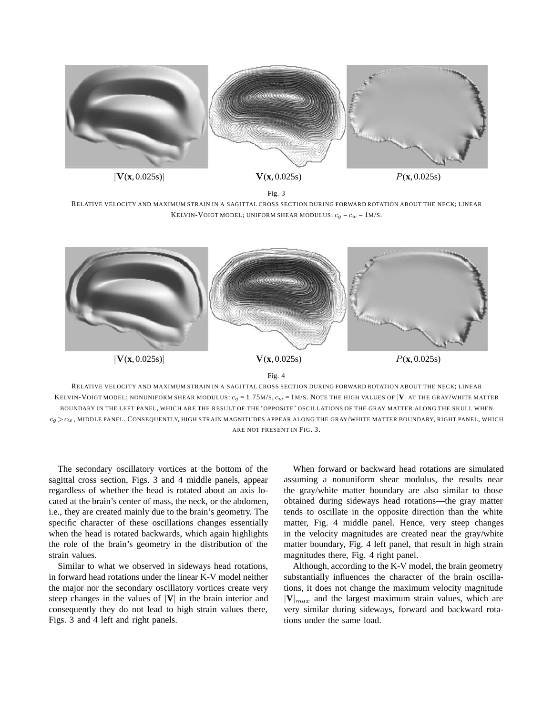

Fig. 3

RELATIVE VELOCITY AND MAXIMUM STRAIN IN A SAGITTAL CROSS SECTION DURING FORWARD ROTATION ABOUT THE NECK; LINEAR KELVIN-VOIGT MODEL; UNIFORM SHEAR MODULUS:  $c_q = c_w = 1$ M/S.



RELATIVE VELOCITY AND MAXIMUM STRAIN IN A SAGITTAL CROSS SECTION DURING FORWARD ROTATION ABOUT THE NECK; LINEAR KELVIN-VOIGT MODEL; NONUNIFORM SHEAR MODULUS:  $c_g = 1.75$ M/S,  $c_w = 1$ M/S. NOTE THE HIGH VALUES OF  $|V|$  AT THE GRAY/WHITE MATTER BOUNDARY IN THE LEFT PANEL, WHICH ARE THE RESULT OF THE 'OPPOSITE' OSCILLATIONS OF THE GRAY MATTER ALONG THE SKULL WHEN  $c_q > c_w$ , MIDDLE PANEL. CONSEQUENTLY, HIGH STRAIN MAGNITUDES APPEAR ALONG THE GRAY/WHITE MATTER BOUNDARY, RIGHT PANEL, WHICH ARE NOT PRESENT IN FIG. 3.

The secondary oscillatory vortices at the bottom of the sagittal cross section, Figs. 3 and 4 middle panels, appear regardless of whether the head is rotated about an axis located at the brain's center of mass, the neck, or the abdomen, i.e., they are created mainly due to the brain's geometry. The specific character of these oscillations changes essentially when the head is rotated backwards, which again highlights the role of the brain's geometry in the distribution of the strain values.

Similar to what we observed in sideways head rotations, in forward head rotations under the linear K-V model neither the major nor the secondary oscillatory vortices create very steep changes in the values of |**V**| in the brain interior and consequently they do not lead to high strain values there, Figs. 3 and 4 left and right panels.

When forward or backward head rotations are simulated assuming a nonuniform shear modulus, the results near the gray/white matter boundary are also similar to those obtained during sideways head rotations—the gray matter tends to oscillate in the opposite direction than the white matter, Fig. 4 middle panel. Hence, very steep changes in the velocity magnitudes are created near the gray/white matter boundary, Fig. 4 left panel, that result in high strain magnitudes there, Fig. 4 right panel.

Although, according to the K-V model, the brain geometry substantially influences the character of the brain oscillations, it does not change the maximum velocity magnitude  $|V|_{max}$  and the largest maximum strain values, which are very similar during sideways, forward and backward rotations under the same load.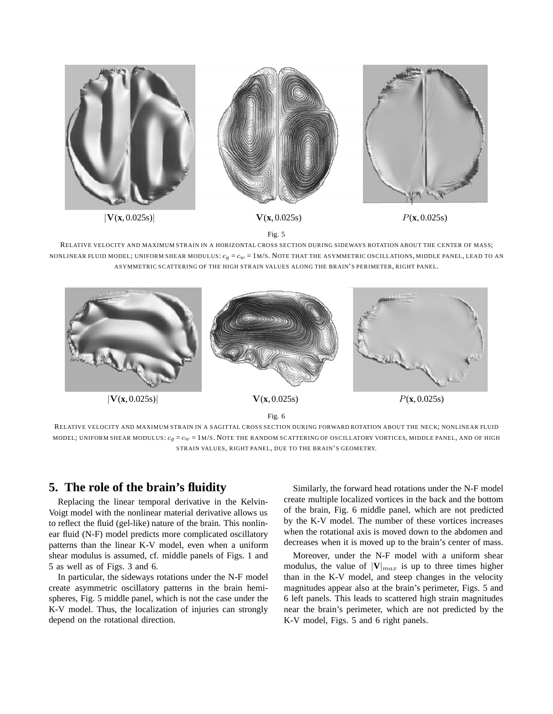

Fig. 5

RELATIVE VELOCITY AND MAXIMUM STRAIN IN A HORIZONTAL CROSS SECTION DURING SIDEWAYS ROTATION ABOUT THE CENTER OF MASS; NONLINEAR FLUID MODEL; UNIFORM SHEAR MODULUS:  $c_q = c_w = 1$ M/S. NOTE THAT THE ASYMMETRIC OSCILLATIONS, MIDDLE PANEL, LEAD TO AN ASYMMETRIC SCATTERING OF THE HIGH STRAIN VALUES ALONG THE BRAIN'S PERIMETER, RIGHT PANEL.



RELATIVE VELOCITY AND MAXIMUM STRAIN IN A SAGITTAL CROSS SECTION DURING FORWARD ROTATION ABOUT THE NECK; NONLINEAR FLUID MODEL; UNIFORM SHEAR MODULUS:  $c_g = c_w = 1$  M/S. NOTE THE RANDOM SCATTERING OF OSCILLATORY VORTICES, MIDDLE PANEL, AND OF HIGH STRAIN VALUES, RIGHT PANEL, DUE TO THE BRAIN'S GEOMETRY.

# **5. The role of the brain's fluidity**

Replacing the linear temporal derivative in the Kelvin-Voigt model with the nonlinear material derivative allows us to reflect the fluid (gel-like) nature of the brain. This nonlinear fluid (N-F) model predicts more complicated oscillatory patterns than the linear K-V model, even when a uniform shear modulus is assumed, cf. middle panels of Figs. 1 and 5 as well as of Figs. 3 and 6.

In particular, the sideways rotations under the N-F model create asymmetric oscillatory patterns in the brain hemispheres, Fig. 5 middle panel, which is not the case under the K-V model. Thus, the localization of injuries can strongly depend on the rotational direction.

Similarly, the forward head rotations under the N-F model create multiple localized vortices in the back and the bottom of the brain, Fig. 6 middle panel, which are not predicted by the K-V model. The number of these vortices increases when the rotational axis is moved down to the abdomen and decreases when it is moved up to the brain's center of mass.

Moreover, under the N-F model with a uniform shear modulus, the value of  $|V|_{max}$  is up to three times higher than in the K-V model, and steep changes in the velocity magnitudes appear also at the brain's perimeter, Figs. 5 and 6 left panels. This leads to scattered high strain magnitudes near the brain's perimeter, which are not predicted by the K-V model, Figs. 5 and 6 right panels.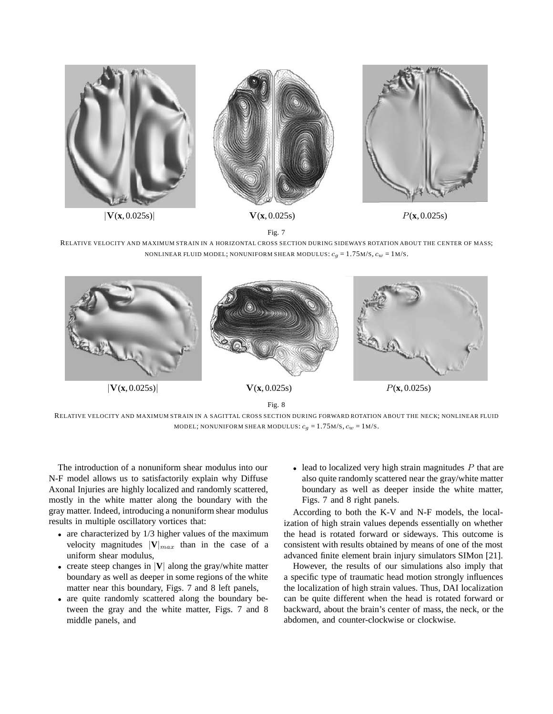

Fig. 7

RELATIVE VELOCITY AND MAXIMUM STRAIN IN A HORIZONTAL CROSS SECTION DURING SIDEWAYS ROTATION ABOUT THE CENTER OF MASS; NONLINEAR FLUID MODEL; NONUNIFORM SHEAR MODULUS:  $c_g = 1.75$ M/S,  $c_w = 1$ M/S.



RELATIVE VELOCITY AND MAXIMUM STRAIN IN A SAGITTAL CROSS SECTION DURING FORWARD ROTATION ABOUT THE NECK; NONLINEAR FLUID MODEL; NONUNIFORM SHEAR MODULUS:  $c_g = 1.75$  M/s,  $c_w = 1$  M/s.

The introduction of a nonuniform shear modulus into our N-F model allows us to satisfactorily explain why Diffuse Axonal Injuries are highly localized and randomly scattered, mostly in the white matter along the boundary with the gray matter. Indeed, introducing a nonuniform shear modulus results in multiple oscillatory vortices that:

- are characterized by 1/3 higher values of the maximum velocity magnitudes  $|\mathbf{V}|_{max}$  than in the case of a uniform shear modulus,
- create steep changes in |**V**| along the gray/white matter boundary as well as deeper in some regions of the white matter near this boundary, Figs. 7 and 8 left panels,
- are quite randomly scattered along the boundary between the gray and the white matter, Figs. 7 and 8 middle panels, and

 $\bullet$  lead to localized very high strain magnitudes  $P$  that are also quite randomly scattered near the gray/white matter boundary as well as deeper inside the white matter, Figs. 7 and 8 right panels.

According to both the K-V and N-F models, the localization of high strain values depends essentially on whether the head is rotated forward or sideways. This outcome is consistent with results obtained by means of one of the most advanced finite element brain injury simulators SIMon [21].

However, the results of our simulations also imply that a specific type of traumatic head motion strongly influences the localization of high strain values. Thus, DAI localization can be quite different when the head is rotated forward or backward, about the brain's center of mass, the neck, or the abdomen, and counter-clockwise or clockwise.